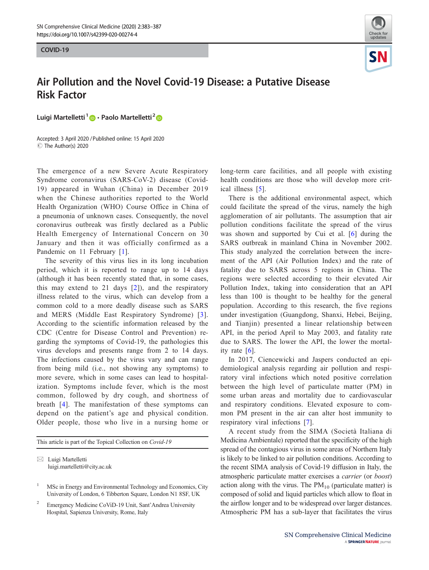COVID-19 COVID-19



## Air Pollution and the Novel Covid-19 Disease: a Putative Disease Risk Factor

Luigi Martelletti<sup>1</sup>  $\bullet$  · Paolo Martelletti<sup>2</sup>  $\bullet$ 

Accepted: 3 April 2020 /Published online: 15 April 2020 © The Author(s) 2020

The emergence of a new Severe Acute Respiratory Syndrome coronavirus (SARS-CoV-2) disease (Covid-19) appeared in Wuhan (China) in December 2019 when the Chinese authorities reported to the World Health Organization (WHO) Course Office in China of a pneumonia of unknown cases. Consequently, the novel coronavirus outbreak was firstly declared as a Public Health Emergency of International Concern on 30 January and then it was officially confirmed as a Pandemic on 11 February [[1\]](#page-4-0).

The severity of this virus lies in its long incubation period, which it is reported to range up to 14 days (although it has been recently stated that, in some cases, this may extend to 21 days  $[2]$  $[2]$ ), and the respiratory illness related to the virus, which can develop from a common cold to a more deadly disease such as SARS and MERS (Middle East Respiratory Syndrome) [[3](#page-4-0)]. According to the scientific information released by the CDC (Centre for Disease Control and Prevention) regarding the symptoms of Covid-19, the pathologies this virus develops and presents range from 2 to 14 days. The infections caused by the virus vary and can range from being mild (i.e., not showing any symptoms) to more severe, which in some cases can lead to hospitalization. Symptoms include fever, which is the most common, followed by dry cough, and shortness of breath [[4](#page-4-0)]. The manifestation of these symptoms can depend on the patient's age and physical condition. Older people, those who live in a nursing home or

This article is part of the Topical Collection on Covid-19

long-term care facilities, and all people with existing health conditions are those who will develop more critical illness [[5\]](#page-4-0).

There is the additional environmental aspect, which could facilitate the spread of the virus, namely the high agglomeration of air pollutants. The assumption that air pollution conditions facilitate the spread of the virus was shown and supported by Cui et al. [\[6](#page-4-0)] during the SARS outbreak in mainland China in November 2002. This study analyzed the correlation between the increment of the API (Air Pollution Index) and the rate of fatality due to SARS across 5 regions in China. The regions were selected according to their elevated Air Pollution Index, taking into consideration that an API less than 100 is thought to be healthy for the general population. According to this research, the five regions under investigation (Guangdong, Shanxi, Hebei, Beijing, and Tianjin) presented a linear relationship between API, in the period April to May 2003, and fatality rate due to SARS. The lower the API, the lower the mortality rate [\[6](#page-4-0)].

In 2017, Ciencewicki and Jaspers conducted an epidemiological analysis regarding air pollution and respiratory viral infections which noted positive correlation between the high level of particulate matter (PM) in some urban areas and mortality due to cardiovascular and respiratory conditions. Elevated exposure to common PM present in the air can alter host immunity to respiratory viral infections [[7](#page-4-0)].

A recent study from the SIMA (Società Italiana di Medicina Ambientale) reported that the specificity of the high spread of the contagious virus in some areas of Northern Italy is likely to be linked to air pollution conditions. According to the recent SIMA analysis of Covid-19 diffusion in Italy, the atmospheric particulate matter exercises a carrier (or boost) action along with the virus. The  $PM_{10}$  (particulate matter) is composed of solid and liquid particles which allow to float in the airflow longer and to be widespread over larger distances. Atmospheric PM has a sub-layer that facilitates the virus

 $\boxtimes$  Luigi Martelletti [luigi.martelletti@city.ac.uk](mailto:luigi.martelletti@city.ac.uk)

<sup>1</sup> MSc in Energy and Environmental Technology and Economics, City University of London, 6 Tibberton Square, London N1 8SF, UK

<sup>2</sup> Emergency Medicine CoViD-19 Unit, Sant'Andrea University Hospital, Sapienza University, Rome, Italy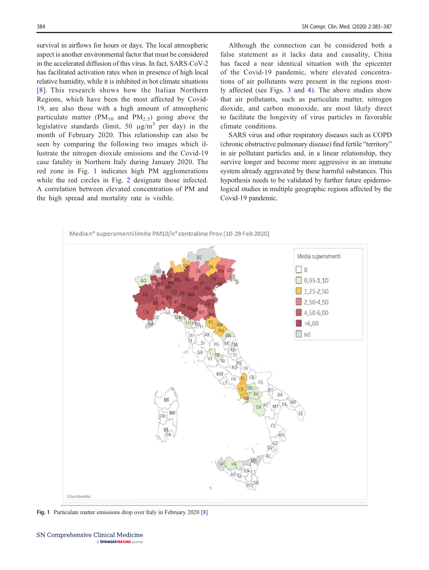survival in airflows for hours or days. The local atmospheric aspect is another environmental factor that must be considered in the accelerated diffusion of this virus. In fact, SARS-CoV-2 has facilitated activation rates when in presence of high local relative humidity, while it is inhibited in hot climate situations [[8\]](#page-4-0). This research shows how the Italian Northern Regions, which have been the most affected by Covid-19, are also those with a high amount of atmospheric particulate matter ( $PM_{10}$  and  $PM_{2.5}$ ) going above the legislative standards (limit, 50  $\mu$ g/m<sup>3</sup> per day) in the month of February 2020. This relationship can also be seen by comparing the following two images which illustrate the nitrogen dioxide emissions and the Covid-19 case fatality in Northern Italy during January 2020. The red zone in Fig. 1 indicates high PM agglomerations while the red circles in Fig. [2](#page-2-0) designate those infected. A correlation between elevated concentration of PM and the high spread and mortality rate is visible.

Although the connection can be considered both a false statement as it lacks data and causality, China has faced a near identical situation with the epicenter of the Covid-19 pandemic, where elevated concentrations of air pollutants were present in the regions mostly affected (see Figs. [3](#page-3-0) and [4](#page-3-0)). The above studies show that air pollutants, such as particulate matter, nitrogen dioxide, and carbon monoxide, are most likely direct to facilitate the longevity of virus particles in favorable climate conditions.

SARS virus and other respiratory diseases such as COPD (chronic obstructive pulmonary disease) find fertile "territory" in air pollutant particles and, in a linear relationship, they survive longer and become more aggressive in an immune system already aggravated by these harmful substances. This hypothesis needs to be validated by further future epidemiological studies in multiple geographic regions affected by the Covid-19 pandemic.



Fig. 1 Particulate matter emissions drop over Italy in February 2020 [[8\]](#page-4-0)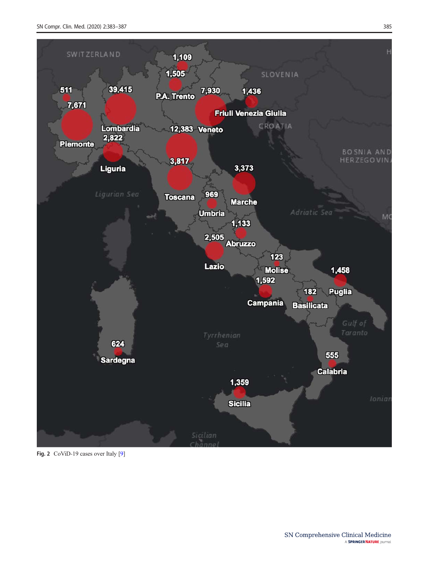<span id="page-2-0"></span>

Fig. 2 CoViD-19 cases over Italy [\[9](#page-4-0)]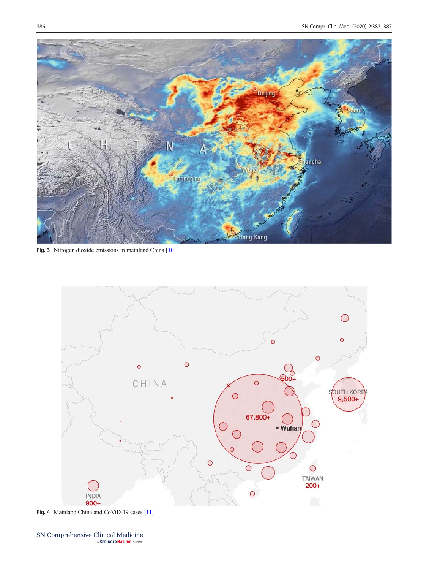<span id="page-3-0"></span>

Fig. 3 Nitrogen dioxide emissions in mainland China [\[10](#page-4-0)]



Fig. 4 Mainland China and CoViD-19 cases [\[11](#page-4-0)]